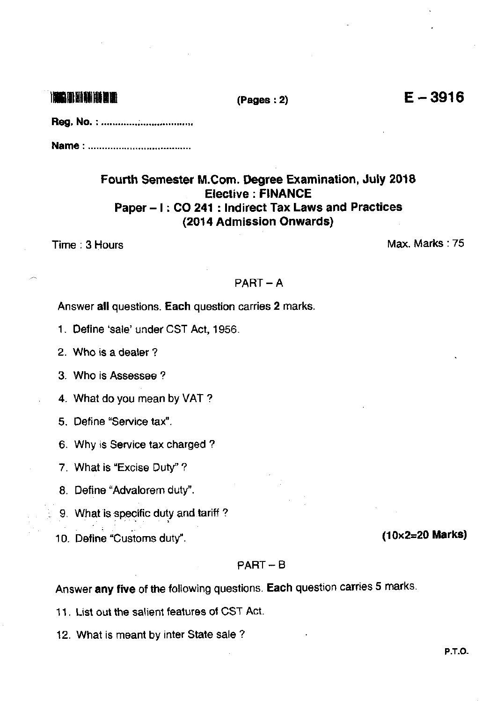#### $(Pages: 2)$

## Fourth Semester M.Com. Degree Examination, July 2018 **Elective: FINANCE** Paper - I: CO 241 : Indirect Tax Laws and Practices (2014 Admission Onwards)

Time: 3 Hours

**调整期期期期期调** 

Max. Marks: 75

 $E - 3916$ 

### $PART - A$

Answer all questions. Each question carries 2 marks.

1. Define 'sale' under CST Act, 1956.

2. Who is a dealer?

3. Who is Assessee?

4. What do you mean by VAT?

5. Define "Service tax".

6. Why is Service tax charged?

7. What is "Excise Duty"?

8. Define "Advalorem duty".

9. What is specific duty and tariff?

10. Define "Customs duty".

 $(10\times2=20$  Marks)

#### $PART - B$

Answer any five of the following questions. Each question carries 5 marks.

11. List out the salient features of CST Act.

12. What is meant by inter State sale?